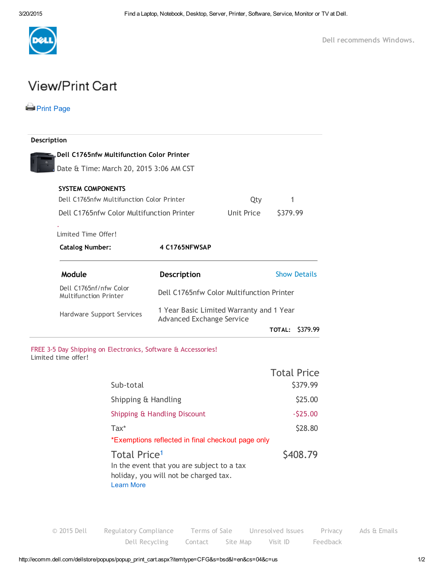

## **View/Print Cart**

## **Print [Page](javascript:window.print();)**

i.

| Description                                                   |                                                                              |            |                           |
|---------------------------------------------------------------|------------------------------------------------------------------------------|------------|---------------------------|
| Dell C1765nfw Multifunction Color Printer                     |                                                                              |            |                           |
| Date & Time: March 20, 2015 3:06 AM CST                       |                                                                              |            |                           |
| <b>SYSTEM COMPONENTS</b>                                      |                                                                              |            |                           |
| Dell C1765nfw Multifunction Color Printer                     |                                                                              | Qty        | 1                         |
| Dell C1765nfw Color Multifunction Printer                     |                                                                              | Unit Price | \$379.99                  |
| Limited Time Offer!                                           |                                                                              |            |                           |
| <b>Catalog Number:</b>                                        | 4 C1765NFWSAP                                                                |            |                           |
| Module                                                        | Description                                                                  |            | <b>Show Details</b>       |
| Dell C1765nf/nfw Color<br><b>Multifunction Printer</b>        | Dell C1765nfw Color Multifunction Printer                                    |            |                           |
|                                                               | 1 Year Basic Limited Warranty and 1 Year<br><b>Advanced Exchange Service</b> |            |                           |
| Hardware Support Services                                     |                                                                              |            |                           |
|                                                               |                                                                              |            | <b>TOTAL:</b><br>\$379.99 |
| FREE 3-5 Day Shipping on Electronics, Software & Accessories! |                                                                              |            |                           |
| Limited time offer!                                           |                                                                              |            | <b>Total Price</b>        |
| Sub-total                                                     |                                                                              |            |                           |
| Shipping & Handling                                           |                                                                              |            | \$379.99<br>\$25.00       |
|                                                               |                                                                              |            | $-525.00$                 |
| $\text{Tax*}$                                                 | Shipping & Handling Discount                                                 |            |                           |
|                                                               | *Exemptions reflected in final checkout page only                            |            | \$28.80                   |

© [2015](http://www.dell.com/learn/us/en/uscorp1/site-terms-of-use-copyright) Dell Regulatory [Compliance](http://www.dell.com/content/topics/global.aspx/about_dell/values/regulatory_compliance/reg_compliance?c=us&l=en&cs=555) [Terms](http://www.dell.com/learn/us/en/uscorp1/terms-of-sale) of Sale [Unresolved](http://www.dell.com/support/incidents/CareForms/ProvideInfo/CareUnresolved) Issues [Privacy](http://www.dell.com/learn/us/en/uscorp1/policies-privacy) Ads & [Emails](http://www.dell.com/learn/us/en/uscorp1/policies-ads-and-emails) Dell [Recycling](http://www.dell.com/learn/us/en/uscorp1/dell-environment-recycling) [Contact](http://www.dell.com/support/Contents/category/Contact-Information) Site [Map](http://www.dell.com/sitemap) [Visit](javascript:alert (  m_pzationPageHash );) ID [Feedback](javascript:OnlineOpinion.Inline();)